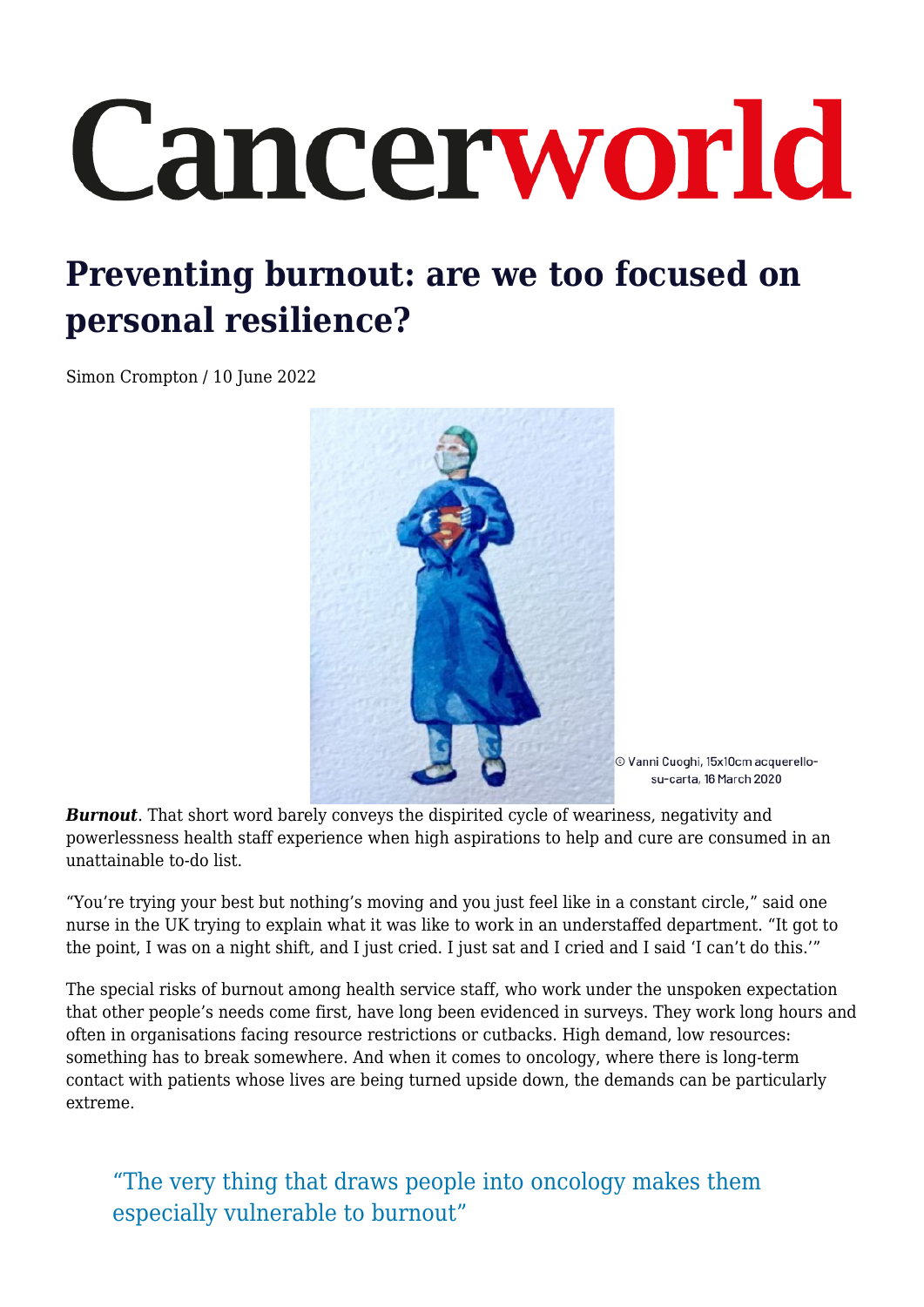# Cancerworld

# **Preventing burnout: are we too focused on personal resilience?**

Simon Crompton / 10 June 2022



© Vanni Cuoghi, 15x10cm acquerellosu-carta, 16 March 2020

**Burnout**. That short word barely conveys the dispirited cycle of weariness, negativity and powerlessness health staff experience when high aspirations to help and cure are consumed in an unattainable to-do list.

"You're trying your best but nothing's moving and you just feel like in a constant circle," said one nurse in the UK trying to explain what it was like to work in an understaffed department. "It got to the point, I was on a night shift, and I just cried. I just sat and I cried and I said 'I can't do this.'"

The special risks of burnout among health service staff, who work under the unspoken expectation that other people's needs come first, have long been evidenced in surveys. They work long hours and often in organisations facing resource restrictions or cutbacks. High demand, low resources: something has to break somewhere. And when it comes to oncology, where there is long-term contact with patients whose lives are being turned upside down, the demands can be particularly extreme.

"The very thing that draws people into oncology makes them especially vulnerable to burnout"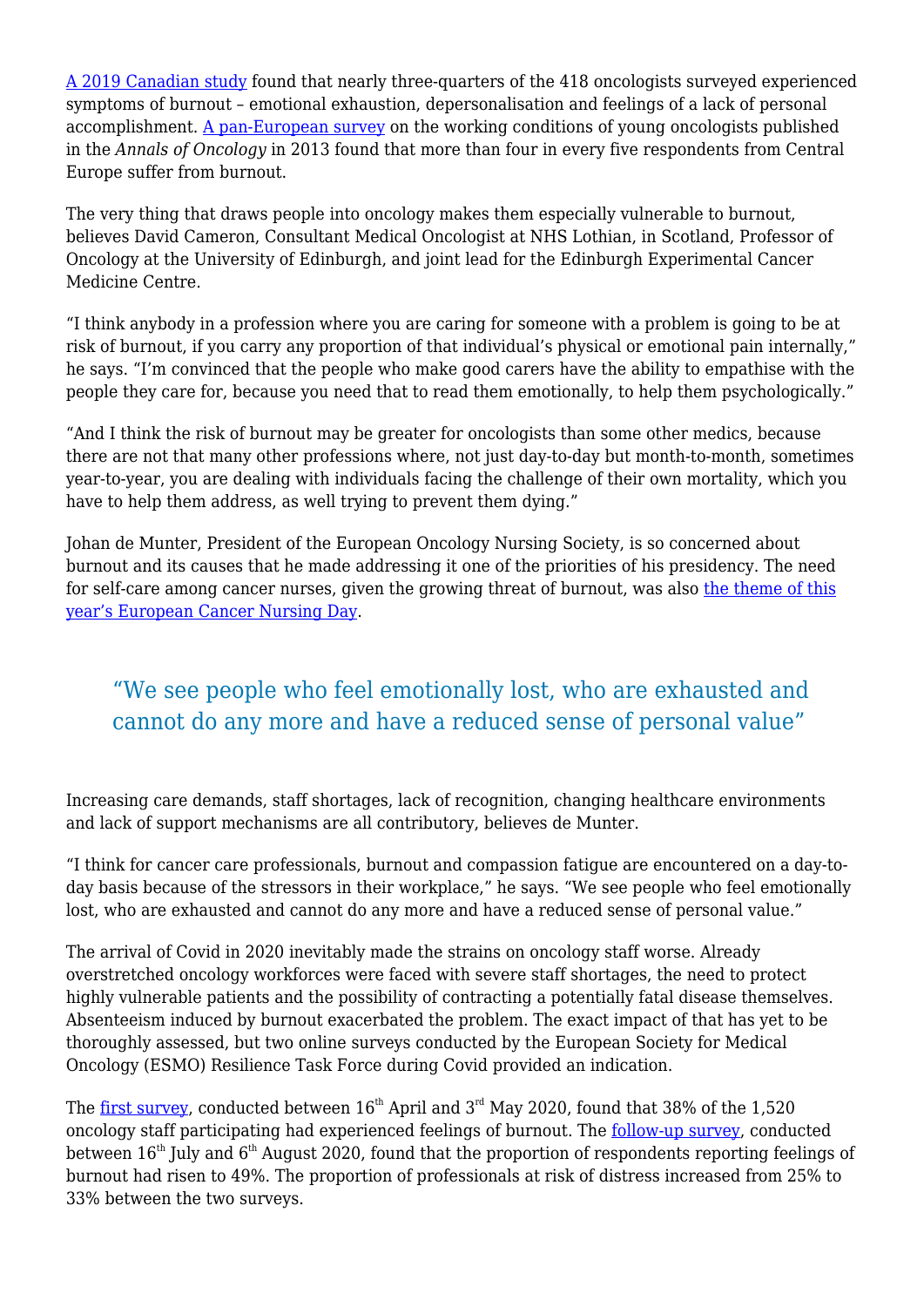[A 2019 Canadian study](https://ascopubs.org/doi/abs/10.1200/OP.21.00170) found that nearly three-quarters of the 418 oncologists surveyed experienced symptoms of burnout – emotional exhaustion, depersonalisation and feelings of a lack of personal accomplishment. [A pan-European survey](https://www.esmo.org/meetings/past-meetings/esmo-2014-congress/press-media/More-Than-70-of-Young-Oncologists-in-Europe-Suffer-Symptoms-of-Burnout) on the working conditions of young oncologists published in the *Annals of Oncology* in 2013 found that more than four in every five respondents from Central Europe suffer from burnout.

The very thing that draws people into oncology makes them especially vulnerable to burnout, believes David Cameron, Consultant Medical Oncologist at NHS Lothian, in Scotland, Professor of Oncology at the University of Edinburgh, and joint lead for the Edinburgh Experimental Cancer Medicine Centre.

"I think anybody in a profession where you are caring for someone with a problem is going to be at risk of burnout, if you carry any proportion of that individual's physical or emotional pain internally," he says. "I'm convinced that the people who make good carers have the ability to empathise with the people they care for, because you need that to read them emotionally, to help them psychologically."

"And I think the risk of burnout may be greater for oncologists than some other medics, because there are not that many other professions where, not just day-to-day but month-to-month, sometimes year-to-year, you are dealing with individuals facing the challenge of their own mortality, which you have to help them address, as well trying to prevent them dying."

Johan de Munter, President of the European Oncology Nursing Society, is so concerned about burnout and its causes that he made addressing it one of the priorities of his presidency. The need for self-care among cancer nurses, given the growing threat of burnout, was also [the theme of this](https://cancerworld.net/partnership/supporting-cancer-nurses-in-caring-for-themselves-and-their-patients/) [year's European Cancer Nursing Day](https://cancerworld.net/partnership/supporting-cancer-nurses-in-caring-for-themselves-and-their-patients/).

## "We see people who feel emotionally lost, who are exhausted and cannot do any more and have a reduced sense of personal value"

Increasing care demands, staff shortages, lack of recognition, changing healthcare environments and lack of support mechanisms are all contributory, believes de Munter.

"I think for cancer care professionals, burnout and compassion fatigue are encountered on a day-today basis because of the stressors in their workplace," he says. "We see people who feel emotionally lost, who are exhausted and cannot do any more and have a reduced sense of personal value."

The arrival of Covid in 2020 inevitably made the strains on oncology staff worse. Already overstretched oncology workforces were faced with severe staff shortages, the need to protect highly vulnerable patients and the possibility of contracting a potentially fatal disease themselves. Absenteeism induced by burnout exacerbated the problem. The exact impact of that has yet to be thoroughly assessed, but two online surveys conducted by the European Society for Medical Oncology (ESMO) Resilience Task Force during Covid provided an indication.

The [first survey](https://www.sciencedirect.com/science/article/pii/S2059702921000132), conducted between  $16^{th}$  April and  $3^{rd}$  May 2020, found that 38% of the 1,520 oncology staff participating had experienced feelings of burnout. The [follow-up survey](https://www.esmoopen.com/article/S2059-7029(21)00160-5/fulltext), conducted between  $16<sup>th</sup>$  July and  $6<sup>th</sup>$  August 2020, found that the proportion of respondents reporting feelings of burnout had risen to 49%. The proportion of professionals at risk of distress increased from 25% to 33% between the two surveys.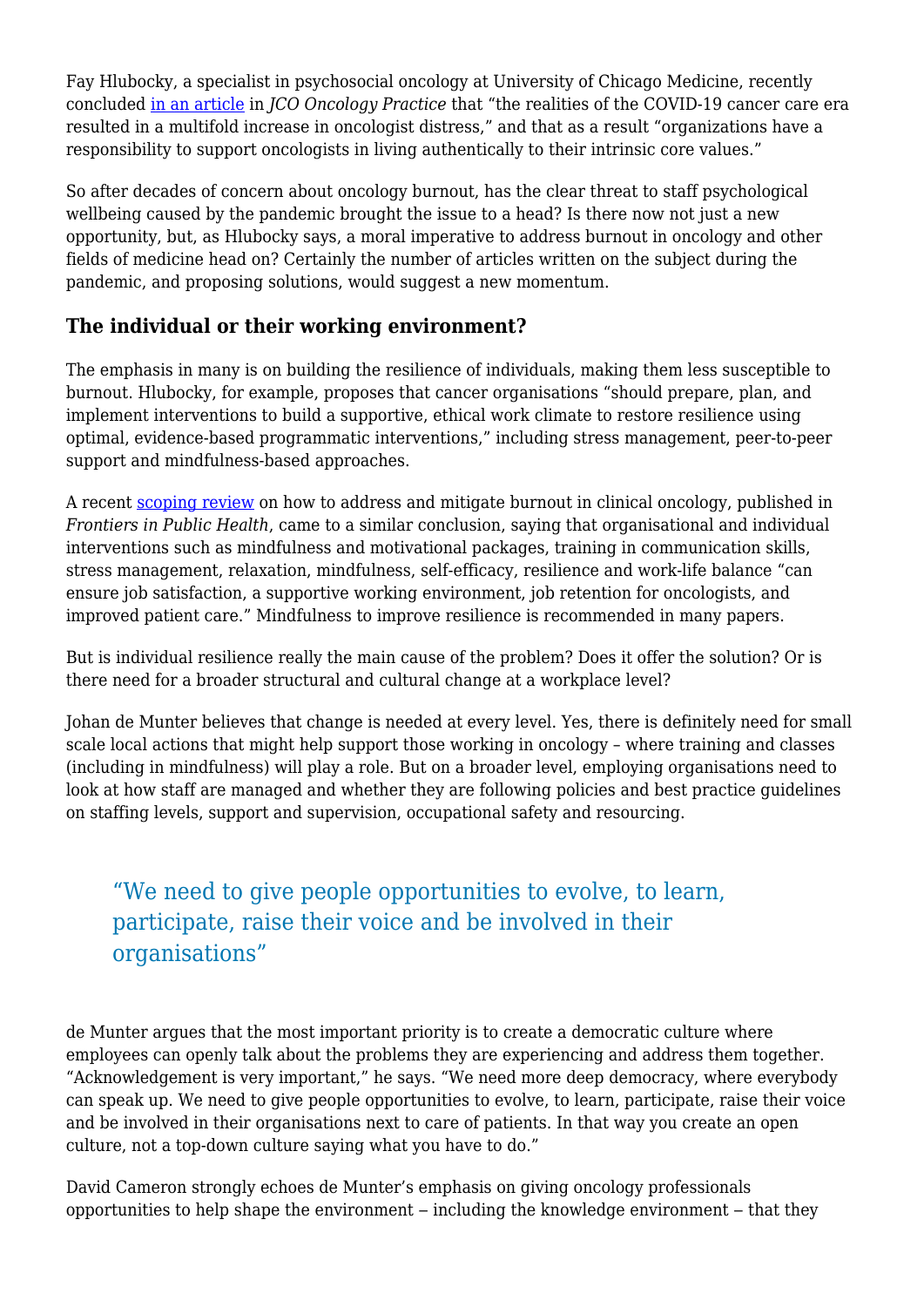Fay Hlubocky, a specialist in psychosocial oncology at University of Chicago Medicine, recently concluded [in an article](https://ascopubs.org/doi/10.1200/OP.20.00937) in *JCO Oncology Practice* that "the realities of the COVID-19 cancer care era resulted in a multifold increase in oncologist distress," and that as a result "organizations have a responsibility to support oncologists in living authentically to their intrinsic core values."

So after decades of concern about oncology burnout, has the clear threat to staff psychological wellbeing caused by the pandemic brought the issue to a head? Is there now not just a new opportunity, but, as Hlubocky says, a moral imperative to address burnout in oncology and other fields of medicine head on? Certainly the number of articles written on the subject during the pandemic, and proposing solutions, would suggest a new momentum.

#### **The individual or their working environment?**

The emphasis in many is on building the resilience of individuals, making them less susceptible to burnout. Hlubocky, for example, proposes that cancer organisations "should prepare, plan, and implement interventions to build a supportive, ethical work climate to restore resilience using optimal, evidence-based programmatic interventions," including stress management, peer-to-peer support and mindfulness-based approaches.

A recent [scoping review](https://www.frontiersin.org/articles/10.3389/fpubh.2021.677915/full) on how to address and mitigate burnout in clinical oncology, published in *Frontiers in Public Health*, came to a similar conclusion, saying that organisational and individual interventions such as mindfulness and motivational packages, training in communication skills, stress management, relaxation, mindfulness, self-efficacy, resilience and work-life balance "can ensure job satisfaction, a supportive working environment, job retention for oncologists, and improved patient care." Mindfulness to improve resilience is recommended in many papers.

But is individual resilience really the main cause of the problem? Does it offer the solution? Or is there need for a broader structural and cultural change at a workplace level?

Johan de Munter believes that change is needed at every level. Yes, there is definitely need for small scale local actions that might help support those working in oncology – where training and classes (including in mindfulness) will play a role. But on a broader level, employing organisations need to look at how staff are managed and whether they are following policies and best practice guidelines on staffing levels, support and supervision, occupational safety and resourcing.

### "We need to give people opportunities to evolve, to learn, participate, raise their voice and be involved in their organisations"

de Munter argues that the most important priority is to create a democratic culture where employees can openly talk about the problems they are experiencing and address them together. "Acknowledgement is very important," he says. "We need more deep democracy, where everybody can speak up. We need to give people opportunities to evolve, to learn, participate, raise their voice and be involved in their organisations next to care of patients. In that way you create an open culture, not a top-down culture saying what you have to do."

David Cameron strongly echoes de Munter's emphasis on giving oncology professionals opportunities to help shape the environment – including the knowledge environment – that they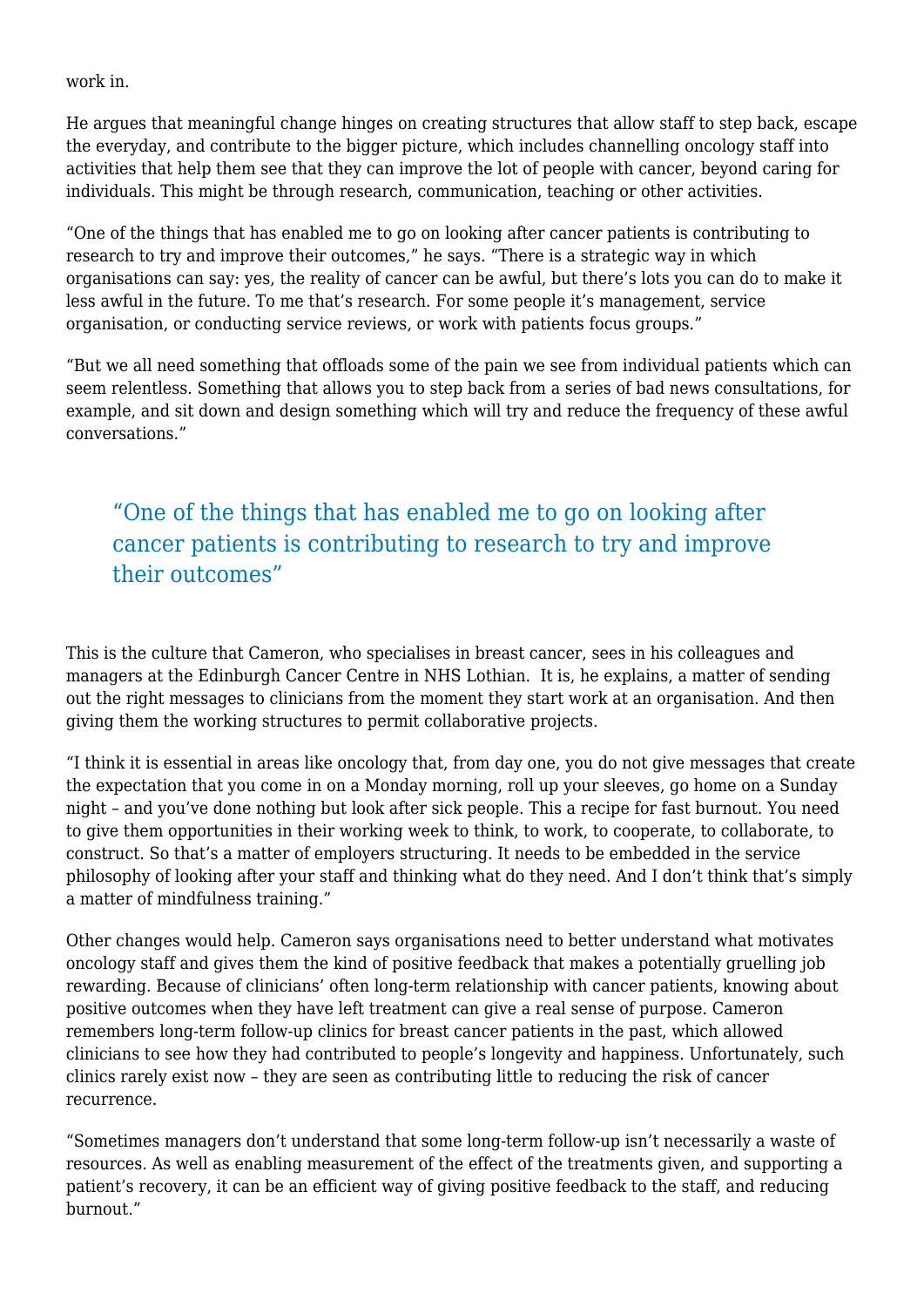work in.

He argues that meaningful change hinges on creating structures that allow staff to step back, escape the everyday, and contribute to the bigger picture, which includes channelling oncology staff into activities that help them see that they can improve the lot of people with cancer, beyond caring for individuals. This might be through research, communication, teaching or other activities.

"One of the things that has enabled me to go on looking after cancer patients is contributing to research to try and improve their outcomes," he says. "There is a strategic way in which organisations can say: yes, the reality of cancer can be awful, but there's lots you can do to make it less awful in the future. To me that's research. For some people it's management, service organisation, or conducting service reviews, or work with patients focus groups."

"But we all need something that offloads some of the pain we see from individual patients which can seem relentless. Something that allows you to step back from a series of bad news consultations, for example, and sit down and design something which will try and reduce the frequency of these awful conversations."

# "One of the things that has enabled me to go on looking after cancer patients is contributing to research to try and improve their outcomes"

This is the culture that Cameron, who specialises in breast cancer, sees in his colleagues and managers at the Edinburgh Cancer Centre in NHS Lothian. It is, he explains, a matter of sending out the right messages to clinicians from the moment they start work at an organisation. And then giving them the working structures to permit collaborative projects.

"I think it is essential in areas like oncology that, from day one, you do not give messages that create the expectation that you come in on a Monday morning, roll up your sleeves, go home on a Sunday night – and you've done nothing but look after sick people. This a recipe for fast burnout. You need to give them opportunities in their working week to think, to work, to cooperate, to collaborate, to construct. So that's a matter of employers structuring. It needs to be embedded in the service philosophy of looking after your staff and thinking what do they need. And I don't think that's simply a matter of mindfulness training."

Other changes would help. Cameron says organisations need to better understand what motivates oncology staff and gives them the kind of positive feedback that makes a potentially gruelling job rewarding. Because of clinicians' often long-term relationship with cancer patients, knowing about positive outcomes when they have left treatment can give a real sense of purpose. Cameron remembers long-term follow-up clinics for breast cancer patients in the past, which allowed clinicians to see how they had contributed to people's longevity and happiness. Unfortunately, such clinics rarely exist now – they are seen as contributing little to reducing the risk of cancer recurrence.

"Sometimes managers don't understand that some long-term follow-up isn't necessarily a waste of resources. As well as enabling measurement of the effect of the treatments given, and supporting a patient's recovery, it can be an efficient way of giving positive feedback to the staff, and reducing burnout."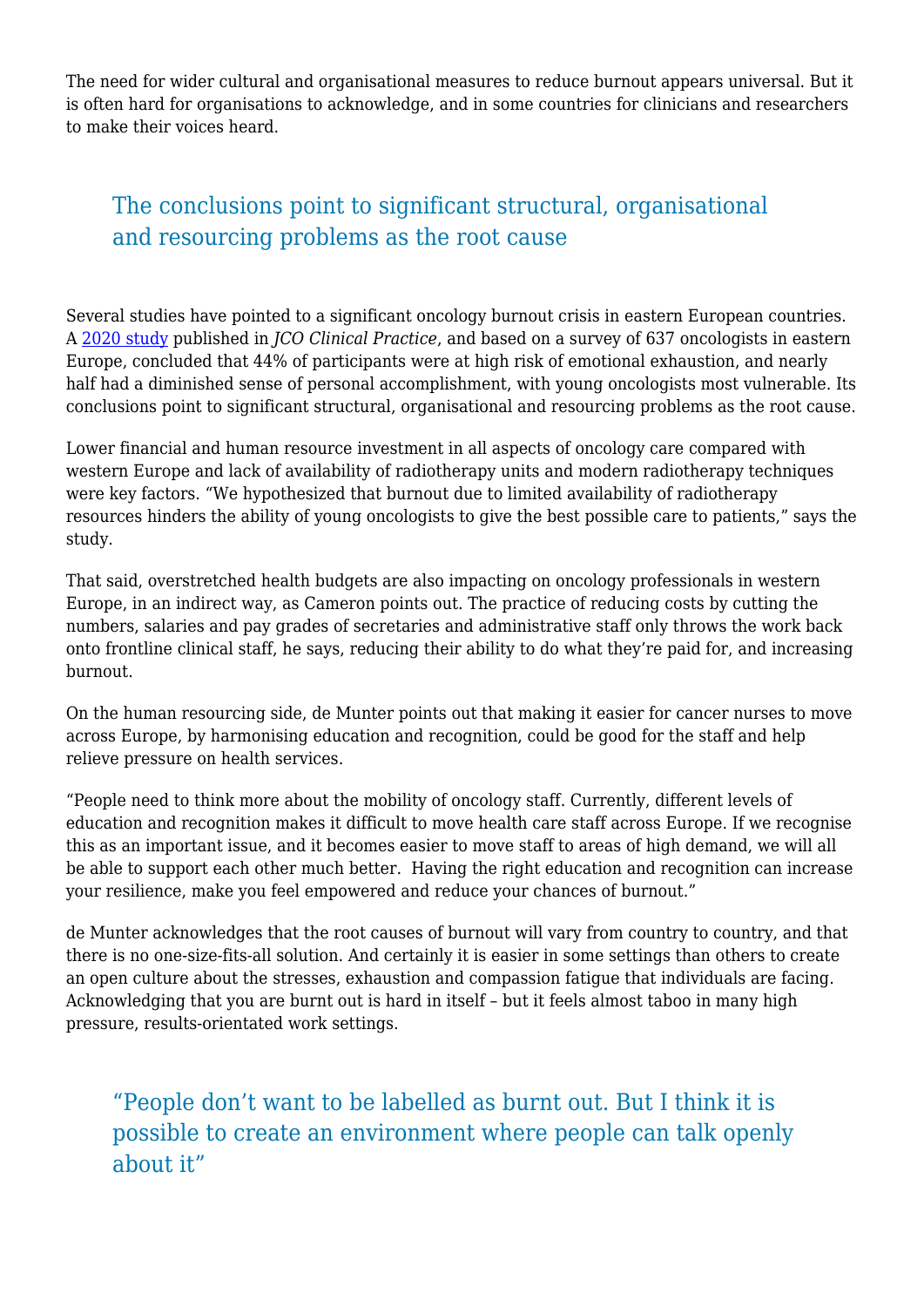The need for wider cultural and organisational measures to reduce burnout appears universal. But it is often hard for organisations to acknowledge, and in some countries for clinicians and researchers to make their voices heard.

# The conclusions point to significant structural, organisational and resourcing problems as the root cause

Several studies have pointed to a significant oncology burnout crisis in eastern European countries. A [2020 study](https://ascopubs.org/doi/full/10.1200/JOP.19.00470) published in *JCO Clinical Practice*, and based on a survey of 637 oncologists in eastern Europe, concluded that 44% of participants were at high risk of emotional exhaustion, and nearly half had a diminished sense of personal accomplishment, with young oncologists most vulnerable. Its conclusions point to significant structural, organisational and resourcing problems as the root cause.

Lower financial and human resource investment in all aspects of oncology care compared with western Europe and lack of availability of radiotherapy units and modern radiotherapy techniques were key factors. "We hypothesized that burnout due to limited availability of radiotherapy resources hinders the ability of young oncologists to give the best possible care to patients," says the study.

That said, overstretched health budgets are also impacting on oncology professionals in western Europe, in an indirect way, as Cameron points out. The practice of reducing costs by cutting the numbers, salaries and pay grades of secretaries and administrative staff only throws the work back onto frontline clinical staff, he says, reducing their ability to do what they're paid for, and increasing burnout.

On the human resourcing side, de Munter points out that making it easier for cancer nurses to move across Europe, by harmonising education and recognition, could be good for the staff and help relieve pressure on health services.

"People need to think more about the mobility of oncology staff. Currently, different levels of education and recognition makes it difficult to move health care staff across Europe. If we recognise this as an important issue, and it becomes easier to move staff to areas of high demand, we will all be able to support each other much better. Having the right education and recognition can increase your resilience, make you feel empowered and reduce your chances of burnout."

de Munter acknowledges that the root causes of burnout will vary from country to country, and that there is no one-size-fits-all solution. And certainly it is easier in some settings than others to create an open culture about the stresses, exhaustion and compassion fatigue that individuals are facing. Acknowledging that you are burnt out is hard in itself – but it feels almost taboo in many high pressure, results-orientated work settings.

"People don't want to be labelled as burnt out. But I think it is possible to create an environment where people can talk openly about it"